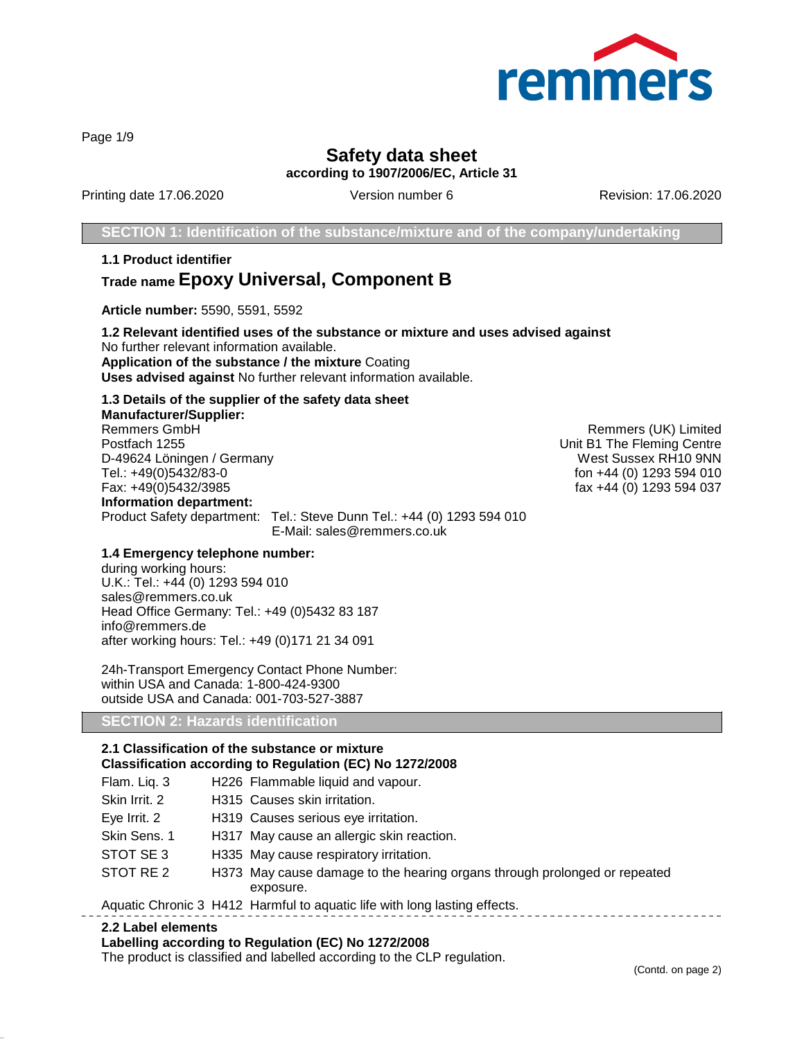

Page 1/9

## **Safety data sheet according to 1907/2006/EC, Article 31**

Printing date 17.06.2020 Version number 6 Revision: 17.06.2020

**SECTION 1: Identification of the substance/mixture and of the company/undertaking**

**1.1 Product identifier Trade name Epoxy Universal, Component B**

**Article number:** 5590, 5591, 5592

**1.2 Relevant identified uses of the substance or mixture and uses advised against** No further relevant information available. **Application of the substance / the mixture** Coating **Uses advised against** No further relevant information available.

## **1.3 Details of the supplier of the safety data sheet**

**Manufacturer/Supplier:** Postfach 1255 Unit B1 The Fleming Centre D-49624 Löningen / Germany West Sussex RH10 9NN<br>Tel.: +49(0)5432/83-0<br>Tel.: +49(0)5432/83-0 Fax: +49(0)5432/3985 fax +44 (0) 1293 594 037 **Information department:** Product Safety department: Tel.: Steve Dunn Tel.: +44 (0) 1293 594 010 E-Mail: sales@remmers.co.uk

Remmers (UK) Limited fon +44 (0) 1293 594 010

#### **1.4 Emergency telephone number:**

during working hours: U.K.: Tel.: +44 (0) 1293 594 010 sales@remmers.co.uk Head Office Germany: Tel.: +49 (0)5432 83 187 info@remmers.de after working hours: Tel.: +49 (0)171 21 34 091

24h-Transport Emergency Contact Phone Number: within USA and Canada: 1-800-424-9300 outside USA and Canada: 001-703-527-3887

#### **SECTION 2: Hazards identification**

## **2.1 Classification of the substance or mixture**

## **Classification according to Regulation (EC) No 1272/2008**

| Flam. Liq. 3  | H226 Flammable liquid and vapour.                                                      |
|---------------|----------------------------------------------------------------------------------------|
| Skin Irrit. 2 | H315 Causes skin irritation.                                                           |
| Eye Irrit. 2  | H319 Causes serious eye irritation.                                                    |
| Skin Sens, 1  | H317 May cause an allergic skin reaction.                                              |
| STOT SE3      | H335 May cause respiratory irritation.                                                 |
| STOT RE 2     | H373 May cause damage to the hearing organs through prolonged or repeated<br>exposure. |
|               | Aquetic Chronic 3 H412 Harmful to aquetic life with long lasting effects               |

#### Aquatic Chronic 3 H412 Harmful to aquatic life with long lasting effects.

#### **2.2 Label elements**

#### **Labelling according to Regulation (EC) No 1272/2008**

The product is classified and labelled according to the CLP regulation.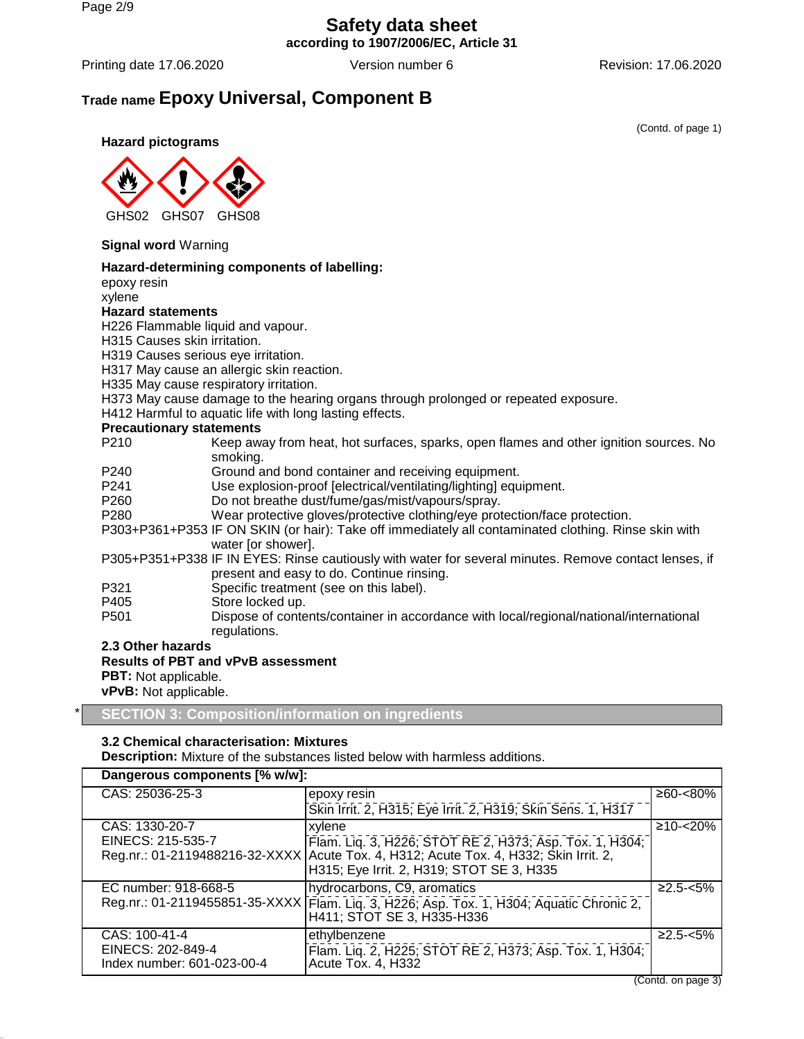## **Safety data sheet according to 1907/2006/EC, Article 31**

Printing date 17.06.2020 **Version number 6** Revision: 17.06.2020 **Revision:** 17.06.2020

## **Trade name Epoxy Universal, Component B**

(Contd. of page 1)

**Hazard pictograms**



### **Signal word** Warning

#### **Hazard-determining components of labelling:**

epoxy resin xylene

#### **Hazard statements**

H226 Flammable liquid and vapour.

- H315 Causes skin irritation.
- H319 Causes serious eye irritation.
- H317 May cause an allergic skin reaction.
- H335 May cause respiratory irritation.
- H373 May cause damage to the hearing organs through prolonged or repeated exposure.
- H412 Harmful to aquatic life with long lasting effects.

#### **Precautionary statements**

- P210 Keep away from heat, hot surfaces, sparks, open flames and other ignition sources. No smoking.
- P240 Ground and bond container and receiving equipment.
- P241 Use explosion-proof [electrical/ventilating/lighting] equipment.
- P260 Do not breathe dust/fume/gas/mist/vapours/spray.
- P280 Wear protective gloves/protective clothing/eye protection/face protection.
- P303+P361+P353 IF ON SKIN (or hair): Take off immediately all contaminated clothing. Rinse skin with water [or shower].

P305+P351+P338 IF IN EYES: Rinse cautiously with water for several minutes. Remove contact lenses, if present and easy to do. Continue rinsing.

- P321 Specific treatment (see on this label).
- 
- P405 Store locked up.<br>P501 Dispose of conte Dispose of contents/container in accordance with local/regional/national/international regulations.

**2.3 Other hazards**

**Results of PBT and vPvB assessment PBT:** Not applicable. **vPvB:** Not applicable.

\* **SECTION 3: Composition/information on ingredients**

## **3.2 Chemical characterisation: Mixtures**

**Description:** Mixture of the substances listed below with harmless additions.

| Dangerous components [% w/w]:                   |                                                                                                                                                                                                 |                |  |  |
|-------------------------------------------------|-------------------------------------------------------------------------------------------------------------------------------------------------------------------------------------------------|----------------|--|--|
| CAS: 25036-25-3                                 | epoxy resin                                                                                                                                                                                     | $≥60 - <80\%$  |  |  |
|                                                 | Skin Irrit. 2, H315; Eye Irrit. 2, H319; Skin Sens. 1, H317                                                                                                                                     |                |  |  |
| CAS: 1330-20-7                                  | xylene                                                                                                                                                                                          | $≥10 - < 20\%$ |  |  |
| EINECS: 215-535-7                               | Flam. Liq. 3, H226; STOT RE 2, H373; Asp. Tox. 1, H304;<br>Reg.nr.: 01-2119488216-32-XXXX   Acute Tox. 4, H312; Acute Tox. 4, H332; Skin Irrit. 2,<br>H315; Eye Irrit. 2, H319; STOT SE 3, H335 |                |  |  |
| EC number: 918-668-5                            | hydrocarbons, C9, aromatics                                                                                                                                                                     | $≥2.5 - <5%$   |  |  |
|                                                 | Reg.nr.: 01-2119455851-35-XXXX   Flam. Liq. 3, H226; Asp. Tox. 1, H304; Aquatic Chronic 2,<br>H411; STOT SE 3, H335-H336                                                                        |                |  |  |
| CAS: 100-41-4                                   | ethylbenzene                                                                                                                                                                                    | $≥2.5 - <5%$   |  |  |
| EINECS: 202-849-4<br>Index number: 601-023-00-4 | Flam. Lig. 2, H225; STOT RE 2, H373; Asp. Tox. 1, H304;<br>Acute Tox. 4, H332                                                                                                                   |                |  |  |

(Contd. on page 3)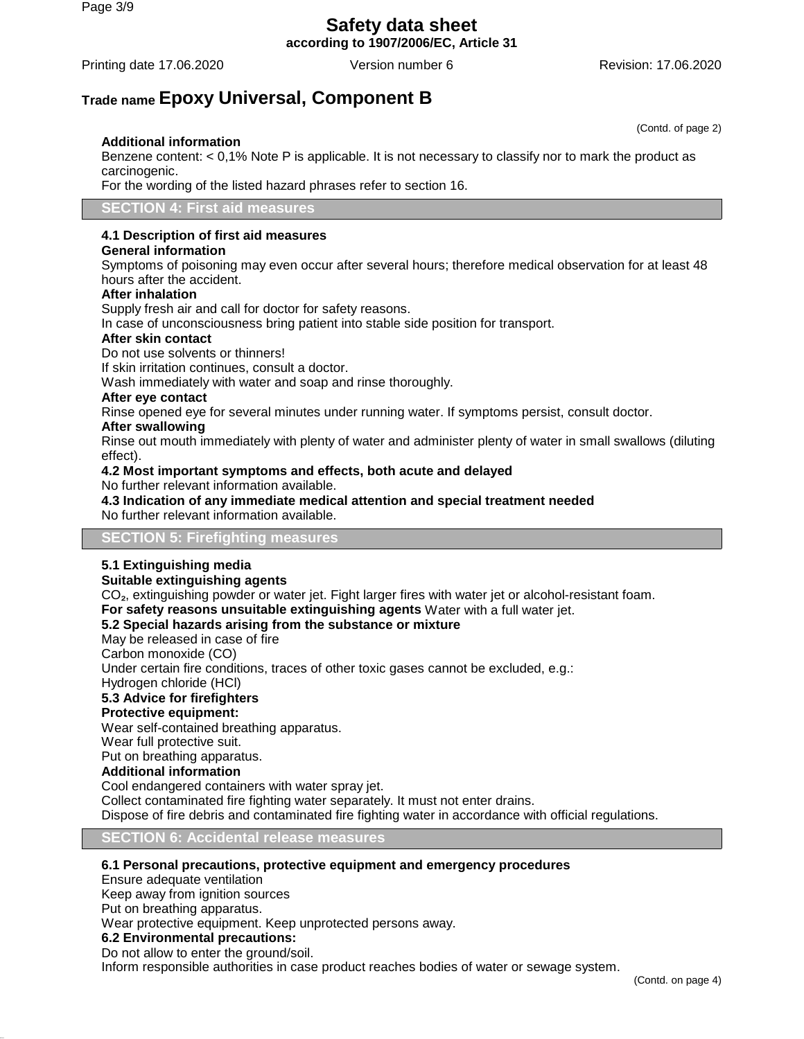# **Safety data sheet**

**according to 1907/2006/EC, Article 31**

Printing date 17.06.2020 **Version number 6** Revision: 17.06.2020 **Revision: 17.06.2020** 

## **Trade name Epoxy Universal, Component B**

## **Additional information**

Benzene content: < 0,1% Note P is applicable. It is not necessary to classify nor to mark the product as carcinogenic.

For the wording of the listed hazard phrases refer to section 16.

**SECTION 4: First aid measures**

## **4.1 Description of first aid measures**

#### **General information**

Symptoms of poisoning may even occur after several hours; therefore medical observation for at least 48 hours after the accident.

#### **After inhalation**

Supply fresh air and call for doctor for safety reasons.

In case of unconsciousness bring patient into stable side position for transport.

#### **After skin contact**

Do not use solvents or thinners!

If skin irritation continues, consult a doctor.

Wash immediately with water and soap and rinse thoroughly.

## **After eye contact**

Rinse opened eye for several minutes under running water. If symptoms persist, consult doctor.

## **After swallowing**

Rinse out mouth immediately with plenty of water and administer plenty of water in small swallows (diluting effect).

#### **4.2 Most important symptoms and effects, both acute and delayed**

No further relevant information available.

#### **4.3 Indication of any immediate medical attention and special treatment needed** No further relevant information available.

## **SECTION 5: Firefighting measures**

## **5.1 Extinguishing media**

#### **Suitable extinguishing agents**

CO₂, extinguishing powder or water jet. Fight larger fires with water jet or alcohol-resistant foam.

**For safety reasons unsuitable extinguishing agents** Water with a full water jet.

## **5.2 Special hazards arising from the substance or mixture**

May be released in case of fire

Carbon monoxide (CO)

Under certain fire conditions, traces of other toxic gases cannot be excluded, e.g.:

Hydrogen chloride (HCl)

## **5.3 Advice for firefighters**

## **Protective equipment:**

Wear self-contained breathing apparatus.

Wear full protective suit.

## Put on breathing apparatus.

## **Additional information**

Cool endangered containers with water spray jet.

Collect contaminated fire fighting water separately. It must not enter drains.

Dispose of fire debris and contaminated fire fighting water in accordance with official regulations.

#### **SECTION 6: Accidental release measures**

#### **6.1 Personal precautions, protective equipment and emergency procedures**

Ensure adequate ventilation

Keep away from ignition sources

Put on breathing apparatus.

Wear protective equipment. Keep unprotected persons away.

## **6.2 Environmental precautions:**

Do not allow to enter the ground/soil.

Inform responsible authorities in case product reaches bodies of water or sewage system.

(Contd. of page 2)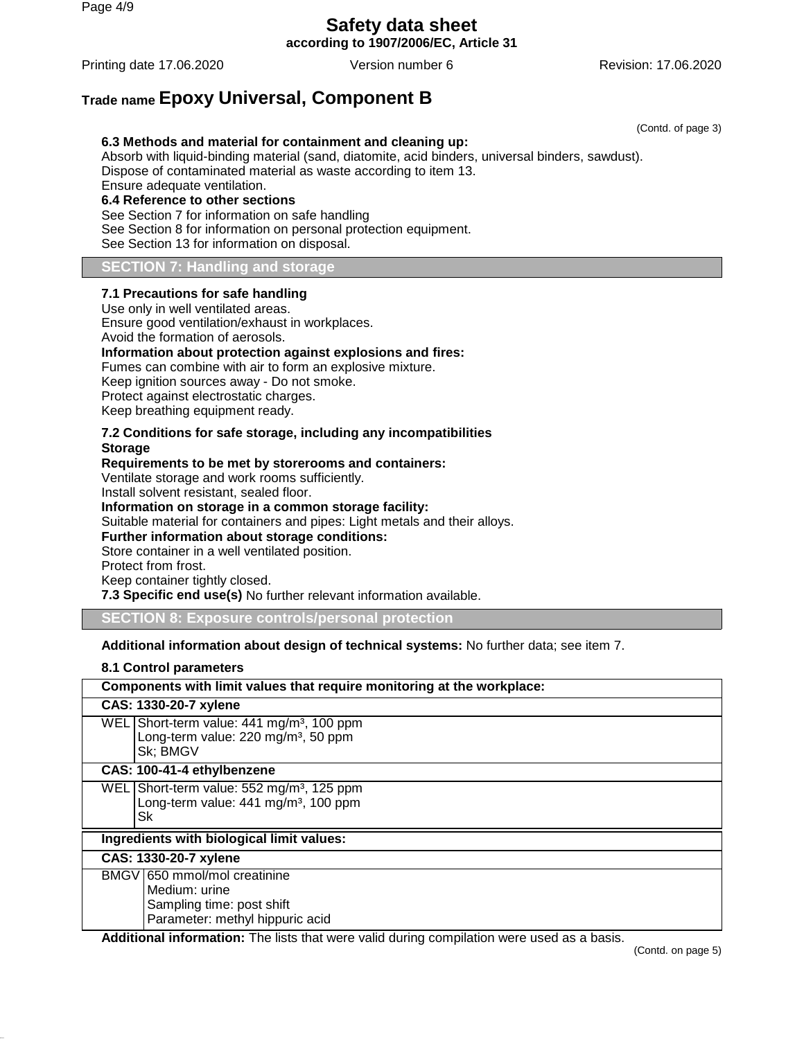Page 4/9

# **Safety data sheet**

**according to 1907/2006/EC, Article 31**

Printing date 17.06.2020 **Version number 6** Revision: 17.06.2020 **Revision: 17.06.2020** 

(Contd. of page 3)

## **Trade name Epoxy Universal, Component B**

## **6.3 Methods and material for containment and cleaning up:**

Absorb with liquid-binding material (sand, diatomite, acid binders, universal binders, sawdust). Dispose of contaminated material as waste according to item 13. Ensure adequate ventilation. **6.4 Reference to other sections** See Section 7 for information on safe handling See Section 8 for information on personal protection equipment.

See Section 13 for information on disposal.

### **SECTION 7: Handling and storage**

#### **7.1 Precautions for safe handling**

Use only in well ventilated areas. Ensure good ventilation/exhaust in workplaces. Avoid the formation of aerosols. **Information about protection against explosions and fires:** Fumes can combine with air to form an explosive mixture. Keep ignition sources away - Do not smoke. Protect against electrostatic charges. Keep breathing equipment ready. **7.2 Conditions for safe storage, including any incompatibilities Storage Requirements to be met by storerooms and containers:**

Ventilate storage and work rooms sufficiently.

Install solvent resistant, sealed floor.

**Information on storage in a common storage facility:**

Suitable material for containers and pipes: Light metals and their alloys.

**Further information about storage conditions:**

Store container in a well ventilated position. Protect from frost.

Keep container tightly closed.

**7.3 Specific end use(s)** No further relevant information available.

**SECTION 8: Exposure controls/personal protection**

**Additional information about design of technical systems:** No further data; see item 7.

## **8.1 Control parameters**

|                                           | Components with limit values that require monitoring at the workplace:                                                  |  |  |  |
|-------------------------------------------|-------------------------------------------------------------------------------------------------------------------------|--|--|--|
|                                           | CAS: 1330-20-7 xylene                                                                                                   |  |  |  |
|                                           | WEL Short-term value: 441 mg/m <sup>3</sup> , 100 ppm<br>Long-term value: 220 mg/m <sup>3</sup> , 50 ppm<br>Sk; BMGV    |  |  |  |
|                                           | CAS: 100-41-4 ethylbenzene                                                                                              |  |  |  |
|                                           | WEL Short-term value: 552 mg/m <sup>3</sup> , 125 ppm<br>Long-term value: 441 mg/m <sup>3</sup> , 100 ppm<br>Sk         |  |  |  |
| Ingredients with biological limit values: |                                                                                                                         |  |  |  |
|                                           | CAS: 1330-20-7 xylene                                                                                                   |  |  |  |
|                                           | BMGV 650 mmol/mol creatinine<br>Medium: urine<br>Sampling time: post shift<br>Parameter: methyl hippuric acid<br>.<br>. |  |  |  |

**Additional information:** The lists that were valid during compilation were used as a basis.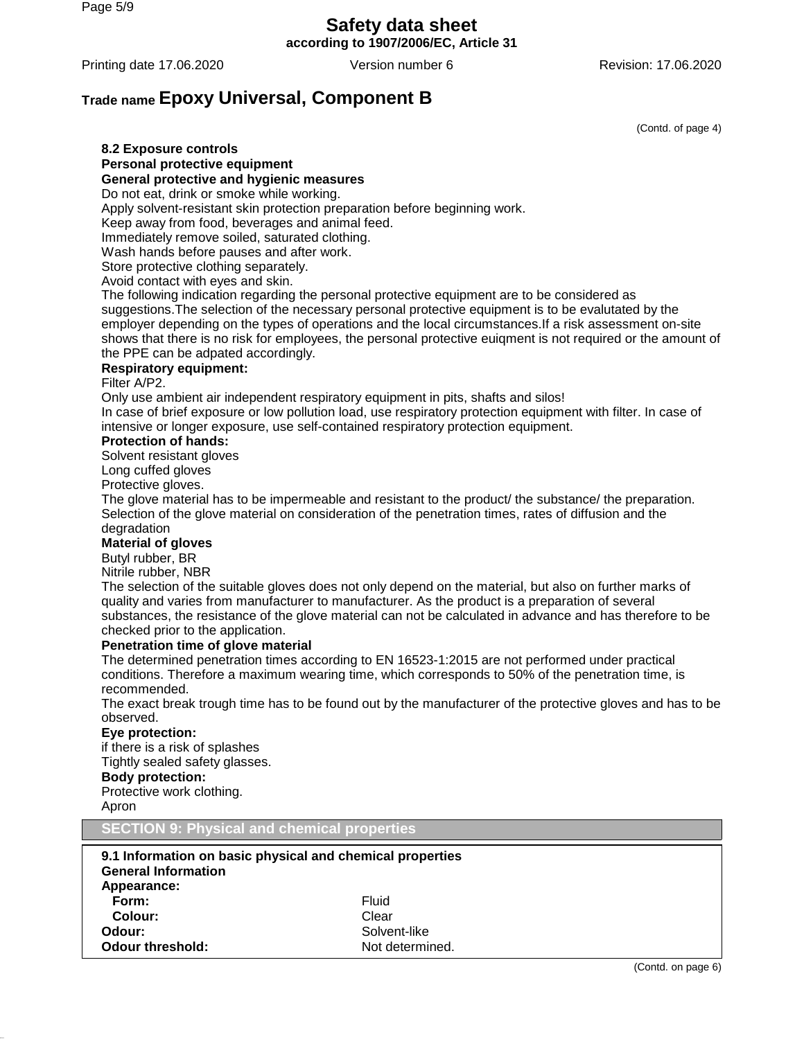Page 5/9

## **Safety data sheet**

**according to 1907/2006/EC, Article 31**

Printing date 17.06.2020 **Version number 6** Revision: 17.06.2020

## **Trade name Epoxy Universal, Component B**

(Contd. of page 4)

#### **8.2 Exposure controls Personal protective equipment**

#### **General protective and hygienic measures**

Do not eat, drink or smoke while working.

Apply solvent-resistant skin protection preparation before beginning work.

Keep away from food, beverages and animal feed.

Immediately remove soiled, saturated clothing.

Wash hands before pauses and after work.

Store protective clothing separately.

Avoid contact with eyes and skin.

The following indication regarding the personal protective equipment are to be considered as suggestions.The selection of the necessary personal protective equipment is to be evalutated by the employer depending on the types of operations and the local circumstances.If a risk assessment on-site shows that there is no risk for employees, the personal protective euiqment is not required or the amount of the PPE can be adpated accordingly.

## **Respiratory equipment:**

#### Filter A/P2.

Only use ambient air independent respiratory equipment in pits, shafts and silos! In case of brief exposure or low pollution load, use respiratory protection equipment with filter. In case of intensive or longer exposure, use self-contained respiratory protection equipment.

#### **Protection of hands:**

Solvent resistant gloves

Long cuffed gloves

Protective gloves.

The glove material has to be impermeable and resistant to the product/ the substance/ the preparation. Selection of the glove material on consideration of the penetration times, rates of diffusion and the degradation

#### **Material of gloves**

Butyl rubber, BR

Nitrile rubber, NBR

The selection of the suitable gloves does not only depend on the material, but also on further marks of quality and varies from manufacturer to manufacturer. As the product is a preparation of several substances, the resistance of the glove material can not be calculated in advance and has therefore to be checked prior to the application.

#### **Penetration time of glove material**

The determined penetration times according to EN 16523-1:2015 are not performed under practical conditions. Therefore a maximum wearing time, which corresponds to 50% of the penetration time, is recommended.

The exact break trough time has to be found out by the manufacturer of the protective gloves and has to be observed.

### **Eye protection:**

if there is a risk of splashes Tightly sealed safety glasses. **Body protection:** Protective work clothing. Apron

**SECTION 9: Physical and chemical properties**

| 9.1 Information on basic physical and chemical properties<br><b>General Information</b><br>Appearance: |                 |
|--------------------------------------------------------------------------------------------------------|-----------------|
| Form:                                                                                                  | Fluid           |
| Colour:                                                                                                | Clear           |
| Odour:                                                                                                 | Solvent-like    |
| <b>Odour threshold:</b>                                                                                | Not determined. |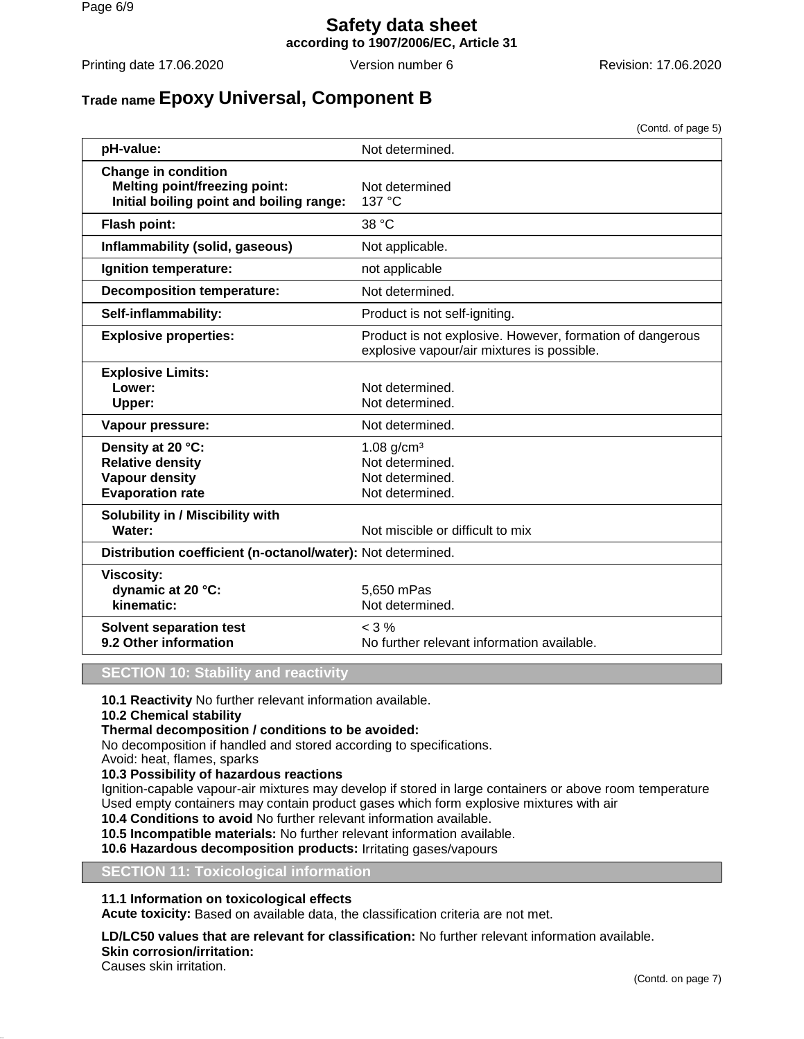## **Safety data sheet according to 1907/2006/EC, Article 31**

Printing date 17.06.2020 Version number 6 Revision: 17.06.2020

## **Trade name Epoxy Universal, Component B**

(Contd. of page 5)

| pH-value:                                                                                                      | Not determined.                                                                                         |  |
|----------------------------------------------------------------------------------------------------------------|---------------------------------------------------------------------------------------------------------|--|
| <b>Change in condition</b><br><b>Melting point/freezing point:</b><br>Initial boiling point and boiling range: | Not determined<br>137 °C                                                                                |  |
| Flash point:                                                                                                   | 38 °C                                                                                                   |  |
| Inflammability (solid, gaseous)                                                                                | Not applicable.                                                                                         |  |
| Ignition temperature:                                                                                          | not applicable                                                                                          |  |
| <b>Decomposition temperature:</b>                                                                              | Not determined.                                                                                         |  |
| Self-inflammability:                                                                                           | Product is not self-igniting.                                                                           |  |
| <b>Explosive properties:</b>                                                                                   | Product is not explosive. However, formation of dangerous<br>explosive vapour/air mixtures is possible. |  |
| <b>Explosive Limits:</b><br>Lower:<br>Upper:                                                                   | Not determined.<br>Not determined.                                                                      |  |
| Vapour pressure:                                                                                               | Not determined.                                                                                         |  |
| Density at 20 °C:<br><b>Relative density</b><br><b>Vapour density</b><br><b>Evaporation rate</b>               | $1.08$ g/cm <sup>3</sup><br>Not determined.<br>Not determined.<br>Not determined.                       |  |
| Solubility in / Miscibility with<br>Water:                                                                     | Not miscible or difficult to mix                                                                        |  |
|                                                                                                                | Distribution coefficient (n-octanol/water): Not determined.                                             |  |
| <b>Viscosity:</b><br>dynamic at 20 °C:<br>kinematic:                                                           | 5,650 mPas<br>Not determined.                                                                           |  |
| <b>Solvent separation test</b><br>9.2 Other information                                                        | $< 3\%$<br>No further relevant information available.                                                   |  |

## **SECTION 10: Stability and reactivity**

**10.1 Reactivity** No further relevant information available.

**10.2 Chemical stability**

## **Thermal decomposition / conditions to be avoided:**

No decomposition if handled and stored according to specifications.

Avoid: heat, flames, sparks

## **10.3 Possibility of hazardous reactions**

Ignition-capable vapour-air mixtures may develop if stored in large containers or above room temperature Used empty containers may contain product gases which form explosive mixtures with air

**10.4 Conditions to avoid** No further relevant information available.

**10.5 Incompatible materials:** No further relevant information available.

**10.6 Hazardous decomposition products:** Irritating gases/vapours

#### **SECTION 11: Toxicological information**

## **11.1 Information on toxicological effects**

**Acute toxicity:** Based on available data, the classification criteria are not met.

#### **LD/LC50 values that are relevant for classification:** No further relevant information available. **Skin corrosion/irritation:**

Causes skin irritation.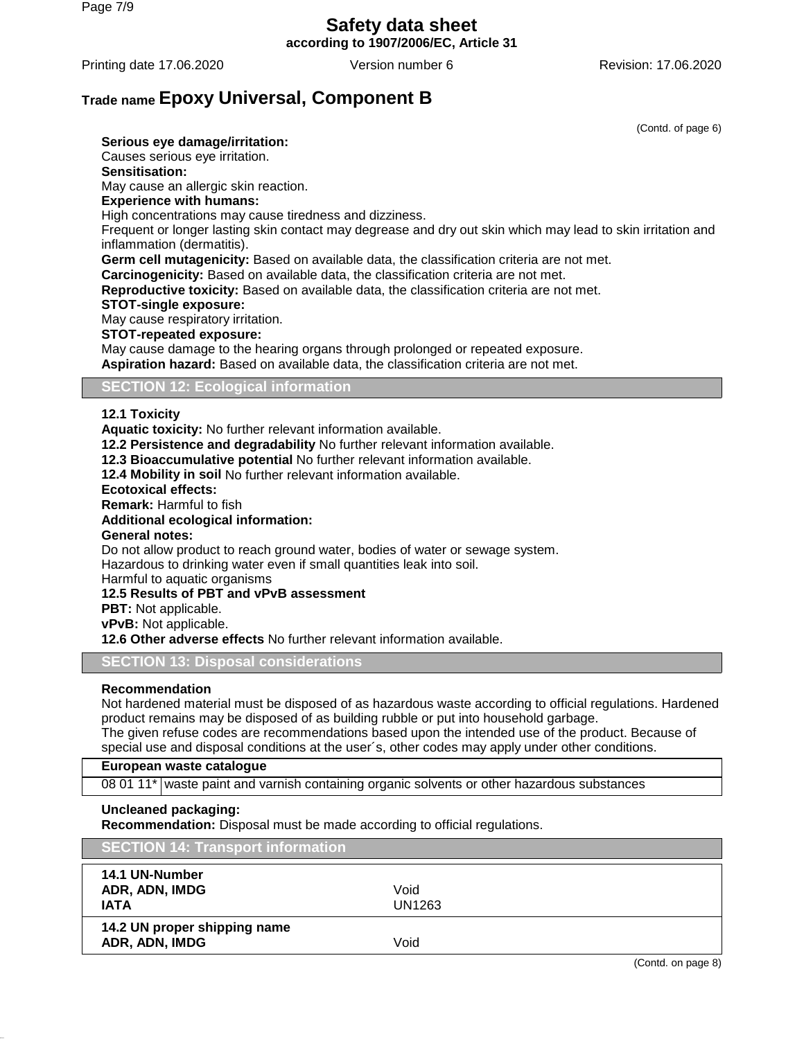# **Safety data sheet**

**according to 1907/2006/EC, Article 31**

Printing date 17.06.2020 **Version number 6** Revision: 17.06.2020 **Revision:** 17.06.2020

## **Trade name Epoxy Universal, Component B**

(Contd. of page 6)

**Serious eye damage/irritation:** Causes serious eye irritation. **Sensitisation:** May cause an allergic skin reaction. **Experience with humans:** High concentrations may cause tiredness and dizziness. Frequent or longer lasting skin contact may degrease and dry out skin which may lead to skin irritation and inflammation (dermatitis). **Germ cell mutagenicity:** Based on available data, the classification criteria are not met. **Carcinogenicity:** Based on available data, the classification criteria are not met. **Reproductive toxicity:** Based on available data, the classification criteria are not met. **STOT-single exposure:** May cause respiratory irritation. **STOT-repeated exposure:** May cause damage to the hearing organs through prolonged or repeated exposure. **Aspiration hazard:** Based on available data, the classification criteria are not met. **SECTION 12: Ecological information**

## **12.1 Toxicity**

**Aquatic toxicity:** No further relevant information available.

**12.2 Persistence and degradability** No further relevant information available.

**12.3 Bioaccumulative potential** No further relevant information available.

**12.4 Mobility in soil** No further relevant information available.

#### **Ecotoxical effects:**

**Remark:** Harmful to fish

### **Additional ecological information:**

**General notes:**

Do not allow product to reach ground water, bodies of water or sewage system. Hazardous to drinking water even if small quantities leak into soil.

Harmful to aquatic organisms

**12.5 Results of PBT and vPvB assessment**

**PBT:** Not applicable.

**vPvB:** Not applicable.

**12.6 Other adverse effects** No further relevant information available.

**SECTION 13: Disposal considerations**

#### **Recommendation**

Not hardened material must be disposed of as hazardous waste according to official regulations. Hardened product remains may be disposed of as building rubble or put into household garbage. The given refuse codes are recommendations based upon the intended use of the product. Because of special use and disposal conditions at the user´s, other codes may apply under other conditions.

#### **European waste catalogue**

08 01 11\* waste paint and varnish containing organic solvents or other hazardous substances

#### **Uncleaned packaging:**

**Recommendation:** Disposal must be made according to official regulations.

| <b>SECTION 14: Transport information</b>        |                       |
|-------------------------------------------------|-----------------------|
| 14.1 UN-Number<br>ADR, ADN, IMDG<br><b>IATA</b> | Void<br><b>UN1263</b> |
| 14.2 UN proper shipping name<br>ADR, ADN, IMDG  | Void                  |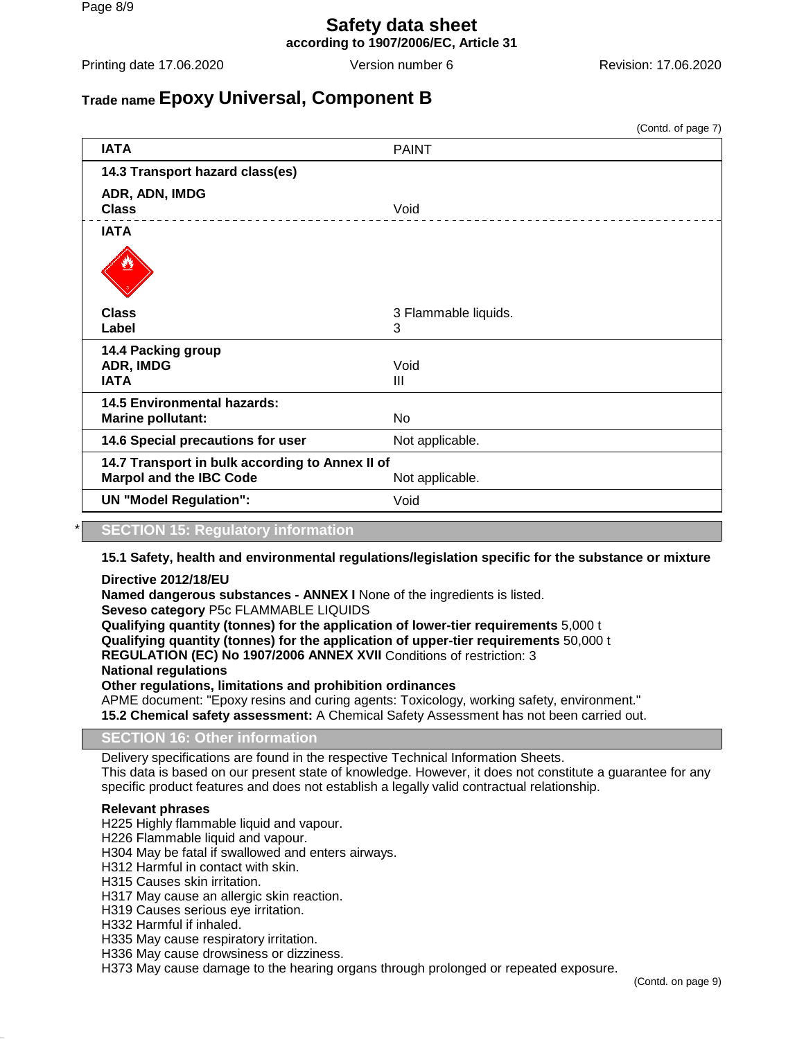# **Safety data sheet**

**according to 1907/2006/EC, Article 31**

Printing date 17.06.2020 **Version number 6** Revision: 17.06.2020 **Revision:** 17.06.2020

## **Trade name Epoxy Universal, Component B**

(Contd. of page 7) **IATA** PAINT **14.3 Transport hazard class(es) ADR, ADN, IMDG Class** Void **IATA Class** 3 Flammable liquids. Label 3 **14.4 Packing group ADR, IMDG** Void **IATA** III **14.5 Environmental hazards: Marine pollutant:** No **14.6 Special precautions for user** Not applicable. **14.7 Transport in bulk according to Annex II of Marpol and the IBC Code** Not applicable. **UN "Model Regulation":** Void

#### \* **SECTION 15: Regulatory information**

#### **15.1 Safety, health and environmental regulations/legislation specific for the substance or mixture**

#### **Directive 2012/18/EU**

**Named dangerous substances - ANNEX I** None of the ingredients is listed. **Seveso category** P5c FLAMMABLE LIQUIDS **Qualifying quantity (tonnes) for the application of lower-tier requirements** 5,000 t **Qualifying quantity (tonnes) for the application of upper-tier requirements** 50,000 t **REGULATION (EC) No 1907/2006 ANNEX XVII** Conditions of restriction: 3 **National regulations Other regulations, limitations and prohibition ordinances** APME document: "Epoxy resins and curing agents: Toxicology, working safety, environment." **15.2 Chemical safety assessment:** A Chemical Safety Assessment has not been carried out.

#### **SECTION 16: Other information**

Delivery specifications are found in the respective Technical Information Sheets. This data is based on our present state of knowledge. However, it does not constitute a guarantee for any specific product features and does not establish a legally valid contractual relationship.

#### **Relevant phrases**

H225 Highly flammable liquid and vapour.

- H226 Flammable liquid and vapour.
- H304 May be fatal if swallowed and enters airways.
- H312 Harmful in contact with skin.
- H315 Causes skin irritation.
- H317 May cause an allergic skin reaction.
- H319 Causes serious eye irritation.
- H332 Harmful if inhaled.
- H335 May cause respiratory irritation.
- H336 May cause drowsiness or dizziness.

H373 May cause damage to the hearing organs through prolonged or repeated exposure.